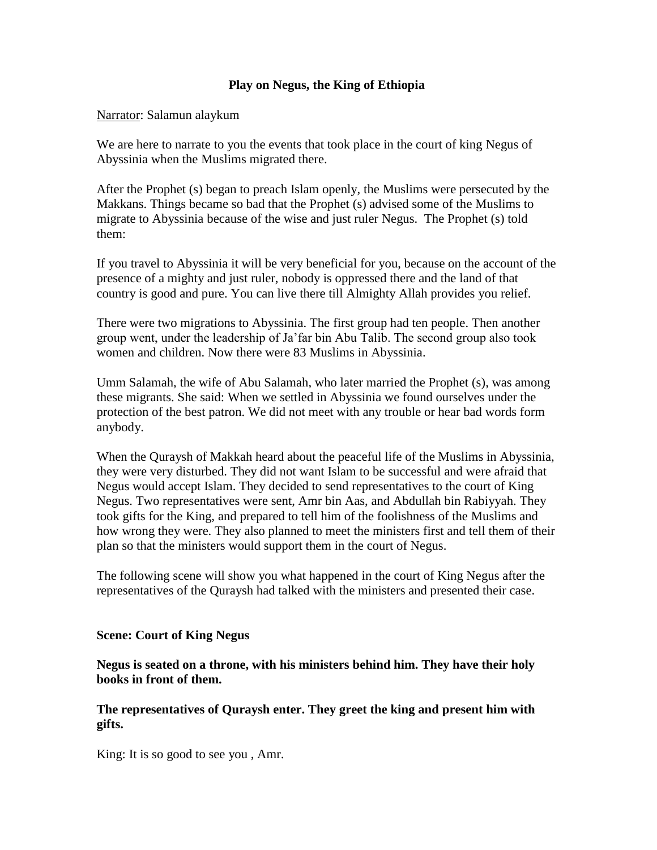### **Play on Negus, the King of Ethiopia**

Narrator: Salamun alaykum

We are here to narrate to you the events that took place in the court of king Negus of Abyssinia when the Muslims migrated there.

After the Prophet (s) began to preach Islam openly, the Muslims were persecuted by the Makkans. Things became so bad that the Prophet (s) advised some of the Muslims to migrate to Abyssinia because of the wise and just ruler Negus. The Prophet (s) told them:

If you travel to Abyssinia it will be very beneficial for you, because on the account of the presence of a mighty and just ruler, nobody is oppressed there and the land of that country is good and pure. You can live there till Almighty Allah provides you relief.

There were two migrations to Abyssinia. The first group had ten people. Then another group went, under the leadership of Ja'far bin Abu Talib. The second group also took women and children. Now there were 83 Muslims in Abyssinia.

Umm Salamah, the wife of Abu Salamah, who later married the Prophet (s), was among these migrants. She said: When we settled in Abyssinia we found ourselves under the protection of the best patron. We did not meet with any trouble or hear bad words form anybody.

When the Quraysh of Makkah heard about the peaceful life of the Muslims in Abyssinia, they were very disturbed. They did not want Islam to be successful and were afraid that Negus would accept Islam. They decided to send representatives to the court of King Negus. Two representatives were sent, Amr bin Aas, and Abdullah bin Rabiyyah. They took gifts for the King, and prepared to tell him of the foolishness of the Muslims and how wrong they were. They also planned to meet the ministers first and tell them of their plan so that the ministers would support them in the court of Negus.

The following scene will show you what happened in the court of King Negus after the representatives of the Quraysh had talked with the ministers and presented their case.

### **Scene: Court of King Negus**

**Negus is seated on a throne, with his ministers behind him. They have their holy books in front of them.**

### **The representatives of Quraysh enter. They greet the king and present him with gifts.**

King: It is so good to see you , Amr.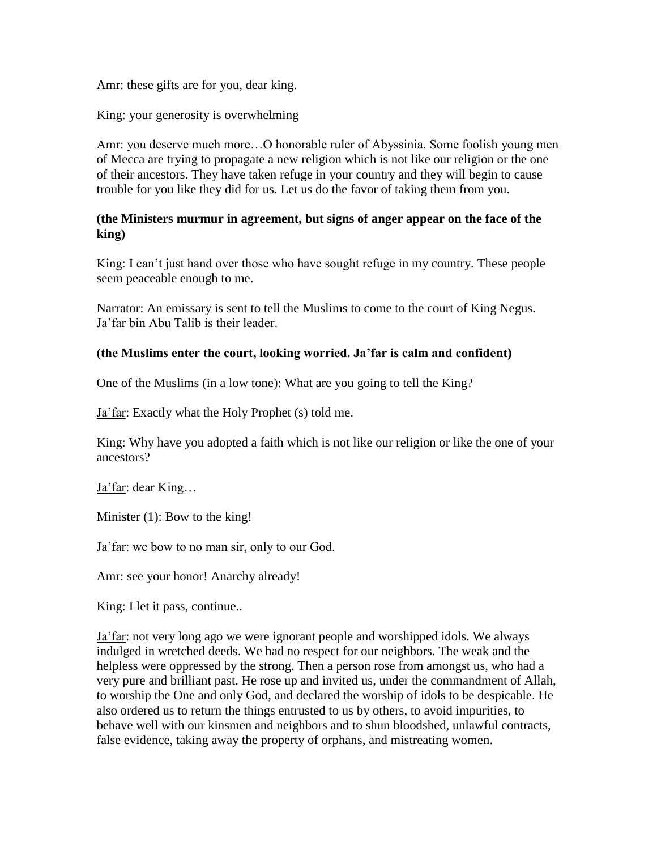Amr: these gifts are for you, dear king.

King: your generosity is overwhelming

Amr: you deserve much more…O honorable ruler of Abyssinia. Some foolish young men of Mecca are trying to propagate a new religion which is not like our religion or the one of their ancestors. They have taken refuge in your country and they will begin to cause trouble for you like they did for us. Let us do the favor of taking them from you.

## **(the Ministers murmur in agreement, but signs of anger appear on the face of the king)**

King: I can't just hand over those who have sought refuge in my country. These people seem peaceable enough to me.

Narrator: An emissary is sent to tell the Muslims to come to the court of King Negus. Ja'far bin Abu Talib is their leader.

# **(the Muslims enter the court, looking worried. Ja'far is calm and confident)**

One of the Muslims (in a low tone): What are you going to tell the King?

Ja'far: Exactly what the Holy Prophet (s) told me.

King: Why have you adopted a faith which is not like our religion or like the one of your ancestors?

Ja'far: dear King…

Minister (1): Bow to the king!

Ja'far: we bow to no man sir, only to our God.

Amr: see your honor! Anarchy already!

King: I let it pass, continue..

Ja'far: not very long ago we were ignorant people and worshipped idols. We always indulged in wretched deeds. We had no respect for our neighbors. The weak and the helpless were oppressed by the strong. Then a person rose from amongst us, who had a very pure and brilliant past. He rose up and invited us, under the commandment of Allah, to worship the One and only God, and declared the worship of idols to be despicable. He also ordered us to return the things entrusted to us by others, to avoid impurities, to behave well with our kinsmen and neighbors and to shun bloodshed, unlawful contracts, false evidence, taking away the property of orphans, and mistreating women.